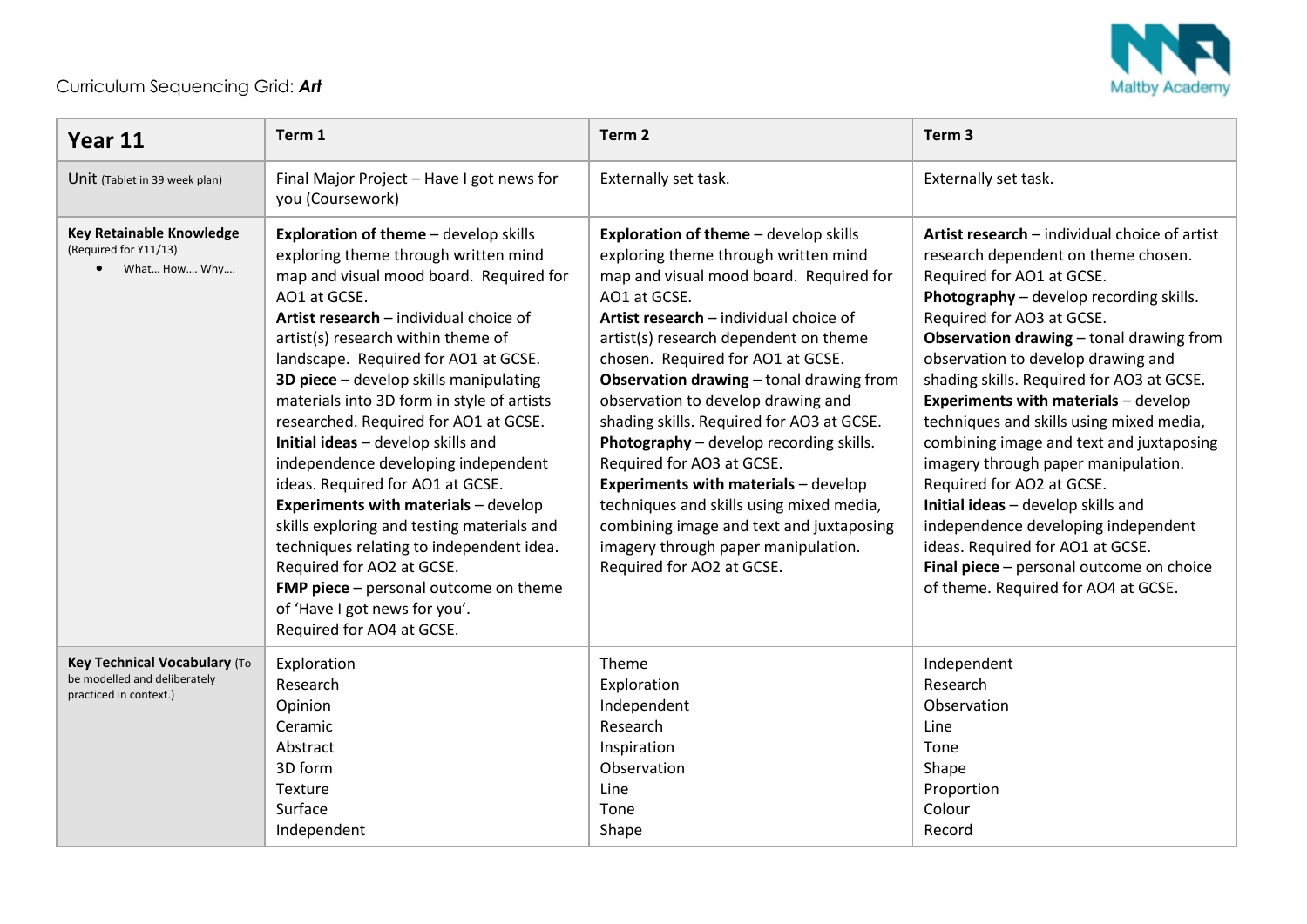

## Curriculum Sequencing Grid: *Art*

| Year 11                                                                                | Term 1                                                                                                                                                                                                                                                                                                                                                                                                                                                                                                                                                                                                                                                                                                                                                                                                 | Term <sub>2</sub>                                                                                                                                                                                                                                                                                                                                                                                                                                                                                                                                                                                                                                                                  | Term <sub>3</sub>                                                                                                                                                                                                                                                                                                                                                                                                                                                                                                                                                                                                                                                                                                                       |
|----------------------------------------------------------------------------------------|--------------------------------------------------------------------------------------------------------------------------------------------------------------------------------------------------------------------------------------------------------------------------------------------------------------------------------------------------------------------------------------------------------------------------------------------------------------------------------------------------------------------------------------------------------------------------------------------------------------------------------------------------------------------------------------------------------------------------------------------------------------------------------------------------------|------------------------------------------------------------------------------------------------------------------------------------------------------------------------------------------------------------------------------------------------------------------------------------------------------------------------------------------------------------------------------------------------------------------------------------------------------------------------------------------------------------------------------------------------------------------------------------------------------------------------------------------------------------------------------------|-----------------------------------------------------------------------------------------------------------------------------------------------------------------------------------------------------------------------------------------------------------------------------------------------------------------------------------------------------------------------------------------------------------------------------------------------------------------------------------------------------------------------------------------------------------------------------------------------------------------------------------------------------------------------------------------------------------------------------------------|
| Unit (Tablet in 39 week plan)                                                          | Final Major Project - Have I got news for<br>you (Coursework)                                                                                                                                                                                                                                                                                                                                                                                                                                                                                                                                                                                                                                                                                                                                          | Externally set task.                                                                                                                                                                                                                                                                                                                                                                                                                                                                                                                                                                                                                                                               | Externally set task.                                                                                                                                                                                                                                                                                                                                                                                                                                                                                                                                                                                                                                                                                                                    |
| <b>Key Retainable Knowledge</b><br>(Required for Y11/13)<br>• What How Why             | <b>Exploration of theme</b> - develop skills<br>exploring theme through written mind<br>map and visual mood board. Required for<br>AO1 at GCSE.<br>Artist research - individual choice of<br>artist(s) research within theme of<br>landscape. Required for AO1 at GCSE.<br>3D piece - develop skills manipulating<br>materials into 3D form in style of artists<br>researched. Required for AO1 at GCSE.<br>Initial ideas - develop skills and<br>independence developing independent<br>ideas. Required for AO1 at GCSE.<br><b>Experiments with materials - develop</b><br>skills exploring and testing materials and<br>techniques relating to independent idea.<br>Required for AO2 at GCSE.<br>FMP piece - personal outcome on theme<br>of 'Have I got news for you'.<br>Required for AO4 at GCSE. | Exploration of theme - develop skills<br>exploring theme through written mind<br>map and visual mood board. Required for<br>AO1 at GCSE.<br>Artist research - individual choice of<br>artist(s) research dependent on theme<br>chosen. Required for AO1 at GCSE.<br>Observation drawing - tonal drawing from<br>observation to develop drawing and<br>shading skills. Required for AO3 at GCSE.<br>Photography - develop recording skills.<br>Required for AO3 at GCSE.<br><b>Experiments with materials - develop</b><br>techniques and skills using mixed media,<br>combining image and text and juxtaposing<br>imagery through paper manipulation.<br>Required for AO2 at GCSE. | Artist research - individual choice of artist<br>research dependent on theme chosen.<br>Required for AO1 at GCSE.<br>Photography - develop recording skills.<br>Required for AO3 at GCSE.<br>Observation drawing - tonal drawing from<br>observation to develop drawing and<br>shading skills. Required for AO3 at GCSE.<br><b>Experiments with materials - develop</b><br>techniques and skills using mixed media,<br>combining image and text and juxtaposing<br>imagery through paper manipulation.<br>Required for AO2 at GCSE.<br>Initial ideas - develop skills and<br>independence developing independent<br>ideas. Required for AO1 at GCSE.<br>Final piece - personal outcome on choice<br>of theme. Required for AO4 at GCSE. |
| Key Technical Vocabulary (To<br>be modelled and deliberately<br>practiced in context.) | Exploration<br>Research<br>Opinion<br>Ceramic<br>Abstract<br>3D form<br>Texture<br>Surface<br>Independent                                                                                                                                                                                                                                                                                                                                                                                                                                                                                                                                                                                                                                                                                              | Theme<br>Exploration<br>Independent<br>Research<br>Inspiration<br>Observation<br>Line<br>Tone<br>Shape                                                                                                                                                                                                                                                                                                                                                                                                                                                                                                                                                                             | Independent<br>Research<br>Observation<br>Line<br>Tone<br>Shape<br>Proportion<br>Colour<br>Record                                                                                                                                                                                                                                                                                                                                                                                                                                                                                                                                                                                                                                       |